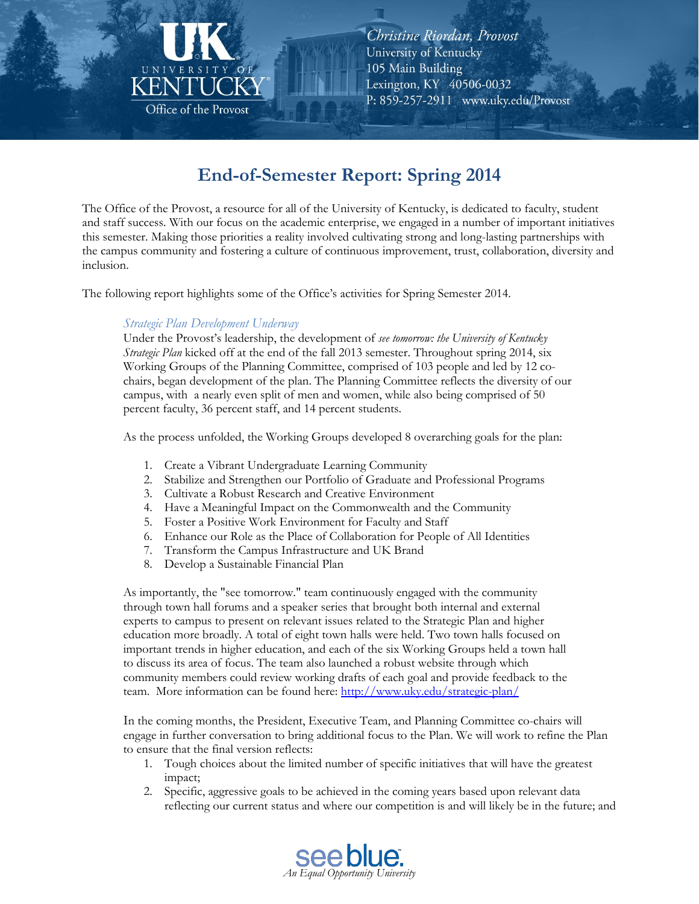

# **End-of-Semester Report: Spring 2014**

The Office of the Provost, a resource for all of the University of Kentucky, is dedicated to faculty, student and staff success. With our focus on the academic enterprise, we engaged in a number of important initiatives this semester. Making those priorities a reality involved cultivating strong and long-lasting partnerships with the campus community and fostering a culture of continuous improvement, trust, collaboration, diversity and inclusion.

The following report highlights some of the Office's activities for Spring Semester 2014.

#### Strategic Plan Development Underway

Under the Provost's leadership, the development of see tomorrow: the University of Kentucky Strategic Plan kicked off at the end of the fall 2013 semester. Throughout spring 2014, six Working Groups of the Planning Committee, comprised of 103 people and led by 12 cochairs, began development of the plan. The Planning Committee reflects the diversity of our campus, with a nearly even split of men and women, while also being comprised of 50 percent faculty, 36 percent staff, and 14 percent students.

As the process unfolded, the Working Groups developed 8 overarching goals for the plan:

- 1. Create a Vibrant Undergraduate Learning Community
- 2. Stabilize and Strengthen our Portfolio of Graduate and Professional Programs
- 3. Cultivate a Robust Research and Creative Environment
- 4. Have a Meaningful Impact on the Commonwealth and the Community
- 5. Foster a Positive Work Environment for Faculty and Staff
- 6. Enhance our Role as the Place of Collaboration for People of All Identities
- 7. Transform the Campus Infrastructure and UK Brand
- 8. Develop a Sustainable Financial Plan

As importantly, the "see tomorrow." team continuously engaged with the community through town hall forums and a speaker series that brought both internal and external experts to campus to present on relevant issues related to the Strategic Plan and higher education more broadly. A total of eight town halls were held. Two town halls focused on important trends in higher education, and each of the six Working Groups held a town hall to discuss its area of focus. The team also launched a robust website through which community members could review working drafts of each goal and provide feedback to the team. More information can be found here: http://www.uky.edu/strategic-plan/

In the coming months, the President, Executive Team, and Planning Committee co-chairs will engage in further conversation to bring additional focus to the Plan. We will work to refine the Plan to ensure that the final version reflects:

- 1. Tough choices about the limited number of specific initiatives that will have the greatest impact;
- 2. Specific, aggressive goals to be achieved in the coming years based upon relevant data reflecting our current status and where our competition is and will likely be in the future; and

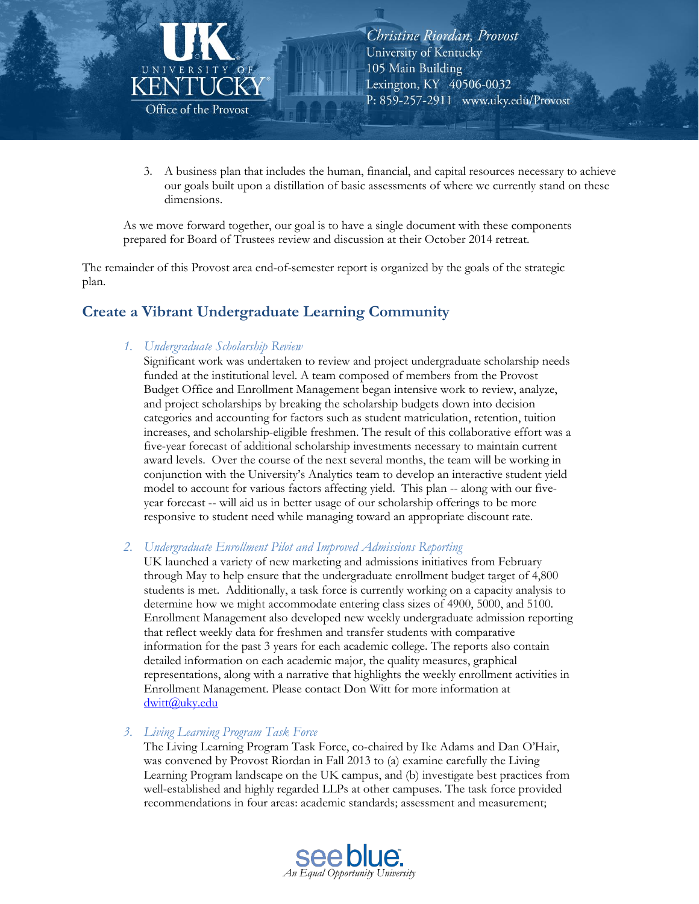

3. A business plan that includes the human, financial, and capital resources necessary to achieve our goals built upon a distillation of basic assessments of where we currently stand on these dimensions.

As we move forward together, our goal is to have a single document with these components prepared for Board of Trustees review and discussion at their October 2014 retreat.

The remainder of this Provost area end-of-semester report is organized by the goals of the strategic plan.

# **Create a Vibrant Undergraduate Learning Community**

#### 1. Undergraduate Scholarship Review

Significant work was undertaken to review and project undergraduate scholarship needs funded at the institutional level. A team composed of members from the Provost Budget Office and Enrollment Management began intensive work to review, analyze, and project scholarships by breaking the scholarship budgets down into decision categories and accounting for factors such as student matriculation, retention, tuition increases, and scholarship-eligible freshmen. The result of this collaborative effort was a five-year forecast of additional scholarship investments necessary to maintain current award levels. Over the course of the next several months, the team will be working in conjunction with the University's Analytics team to develop an interactive student yield model to account for various factors affecting yield. This plan -- along with our fiveyear forecast -- will aid us in better usage of our scholarship offerings to be more responsive to student need while managing toward an appropriate discount rate.

2. Undergraduate Enrollment Pilot and Improved Admissions Reporting

UK launched a variety of new marketing and admissions initiatives from February through May to help ensure that the undergraduate enrollment budget target of 4,800 students is met. Additionally, a task force is currently working on a capacity analysis to determine how we might accommodate entering class sizes of 4900, 5000, and 5100. Enrollment Management also developed new weekly undergraduate admission reporting that reflect weekly data for freshmen and transfer students with comparative information for the past 3 years for each academic college. The reports also contain detailed information on each academic major, the quality measures, graphical representations, along with a narrative that highlights the weekly enrollment activities in Enrollment Management. Please contact Don Witt for more information at dwitt@uky.edu

#### 3. Living Learning Program Task Force

The Living Learning Program Task Force, co-chaired by Ike Adams and Dan O'Hair, was convened by Provost Riordan in Fall 2013 to (a) examine carefully the Living Learning Program landscape on the UK campus, and (b) investigate best practices from well-established and highly regarded LLPs at other campuses. The task force provided recommendations in four areas: academic standards; assessment and measurement;

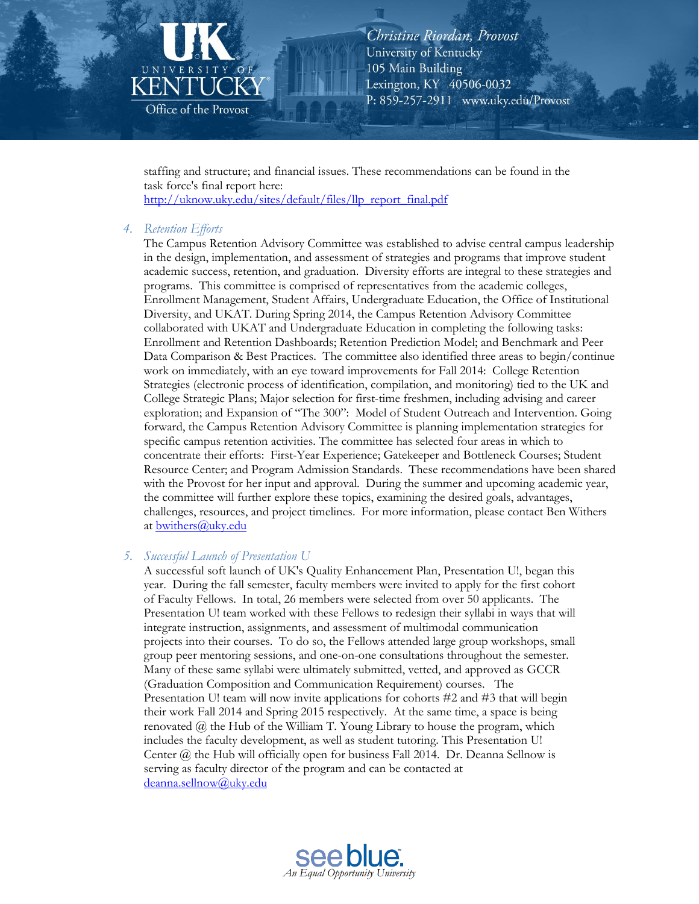

staffing and structure; and financial issues. These recommendations can be found in the task force's final report here: http://uknow.uky.edu/sites/default/files/llp\_report\_final.pdf

#### 4. Retention Efforts

The Campus Retention Advisory Committee was established to advise central campus leadership in the design, implementation, and assessment of strategies and programs that improve student academic success, retention, and graduation. Diversity efforts are integral to these strategies and programs. This committee is comprised of representatives from the academic colleges, Enrollment Management, Student Affairs, Undergraduate Education, the Office of Institutional Diversity, and UKAT. During Spring 2014, the Campus Retention Advisory Committee collaborated with UKAT and Undergraduate Education in completing the following tasks: Enrollment and Retention Dashboards; Retention Prediction Model; and Benchmark and Peer Data Comparison & Best Practices. The committee also identified three areas to begin/continue work on immediately, with an eye toward improvements for Fall 2014: College Retention Strategies (electronic process of identification, compilation, and monitoring) tied to the UK and College Strategic Plans; Major selection for first-time freshmen, including advising and career exploration; and Expansion of "The 300": Model of Student Outreach and Intervention. Going forward, the Campus Retention Advisory Committee is planning implementation strategies for specific campus retention activities. The committee has selected four areas in which to concentrate their efforts: First-Year Experience; Gatekeeper and Bottleneck Courses; Student Resource Center; and Program Admission Standards. These recommendations have been shared with the Provost for her input and approval. During the summer and upcoming academic year, the committee will further explore these topics, examining the desired goals, advantages, challenges, resources, and project timelines. For more information, please contact Ben Withers at bwithers@uky.edu

#### 5. Successful Launch of Presentation U

A successful soft launch of UK's Quality Enhancement Plan, Presentation U!, began this year. During the fall semester, faculty members were invited to apply for the first cohort of Faculty Fellows. In total, 26 members were selected from over 50 applicants. The Presentation U! team worked with these Fellows to redesign their syllabi in ways that will integrate instruction, assignments, and assessment of multimodal communication projects into their courses. To do so, the Fellows attended large group workshops, small group peer mentoring sessions, and one-on-one consultations throughout the semester. Many of these same syllabi were ultimately submitted, vetted, and approved as GCCR (Graduation Composition and Communication Requirement) courses. The Presentation U! team will now invite applications for cohorts #2 and #3 that will begin their work Fall 2014 and Spring 2015 respectively. At the same time, a space is being renovated  $\omega$  the Hub of the William T. Young Library to house the program, which includes the faculty development, as well as student tutoring. This Presentation U! Center  $(a)$  the Hub will officially open for business Fall 2014. Dr. Deanna Sellnow is serving as faculty director of the program and can be contacted at deanna.sellnow@uky.edu

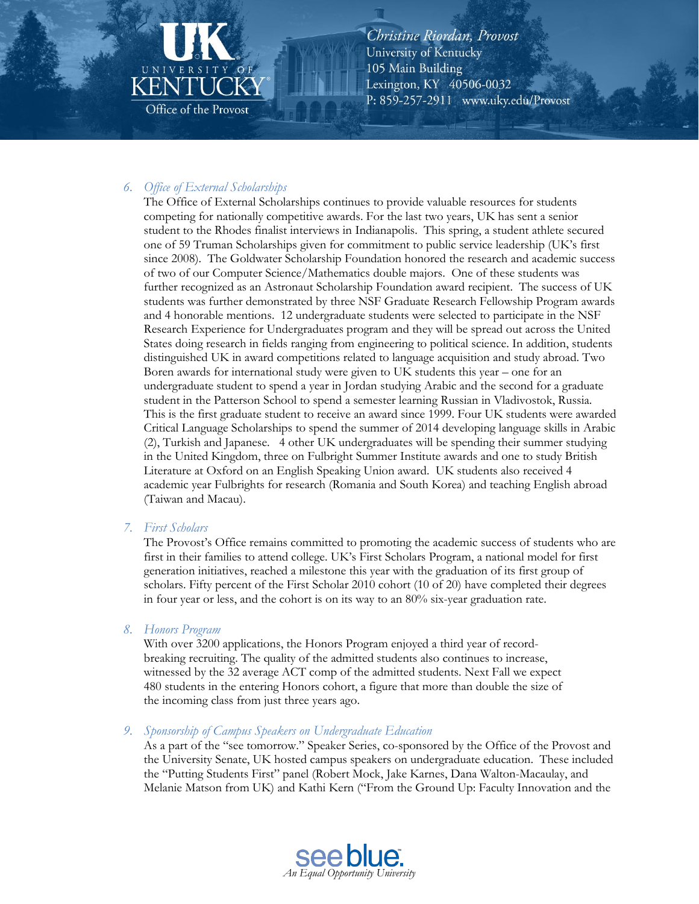# KEN Office of the Provost

Christine Riordan, Provost University of Kentucky 105 Main Building Lexington, KY 40506-0032 P: 859-257-2911 www.uky.edu/Provost

# 6. Office of External Scholarships

The Office of External Scholarships continues to provide valuable resources for students competing for nationally competitive awards. For the last two years, UK has sent a senior student to the Rhodes finalist interviews in Indianapolis. This spring, a student athlete secured one of 59 Truman Scholarships given for commitment to public service leadership (UK's first since 2008). The Goldwater Scholarship Foundation honored the research and academic success of two of our Computer Science/Mathematics double majors. One of these students was further recognized as an Astronaut Scholarship Foundation award recipient. The success of UK students was further demonstrated by three NSF Graduate Research Fellowship Program awards and 4 honorable mentions. 12 undergraduate students were selected to participate in the NSF Research Experience for Undergraduates program and they will be spread out across the United States doing research in fields ranging from engineering to political science. In addition, students distinguished UK in award competitions related to language acquisition and study abroad. Two Boren awards for international study were given to UK students this year – one for an undergraduate student to spend a year in Jordan studying Arabic and the second for a graduate student in the Patterson School to spend a semester learning Russian in Vladivostok, Russia. This is the first graduate student to receive an award since 1999. Four UK students were awarded Critical Language Scholarships to spend the summer of 2014 developing language skills in Arabic (2), Turkish and Japanese. 4 other UK undergraduates will be spending their summer studying in the United Kingdom, three on Fulbright Summer Institute awards and one to study British Literature at Oxford on an English Speaking Union award. UK students also received 4 academic year Fulbrights for research (Romania and South Korea) and teaching English abroad (Taiwan and Macau).

# 7. First Scholars

The Provost's Office remains committed to promoting the academic success of students who are first in their families to attend college. UK's First Scholars Program, a national model for first generation initiatives, reached a milestone this year with the graduation of its first group of scholars. Fifty percent of the First Scholar 2010 cohort (10 of 20) have completed their degrees in four year or less, and the cohort is on its way to an  $80\%$  six-year graduation rate.

#### 8. Honors Program

With over 3200 applications, the Honors Program enjoyed a third year of recordbreaking recruiting. The quality of the admitted students also continues to increase, witnessed by the 32 average ACT comp of the admitted students. Next Fall we expect 480 students in the entering Honors cohort, a figure that more than double the size of the incoming class from just three years ago.

#### 9. Sponsorship of Campus Speakers on Undergraduate Education

As a part of the "see tomorrow." Speaker Series, co-sponsored by the Office of the Provost and the University Senate, UK hosted campus speakers on undergraduate education. These included the "Putting Students First" panel (Robert Mock, Jake Karnes, Dana Walton-Macaulay, and Melanie Matson from UK) and Kathi Kern ("From the Ground Up: Faculty Innovation and the

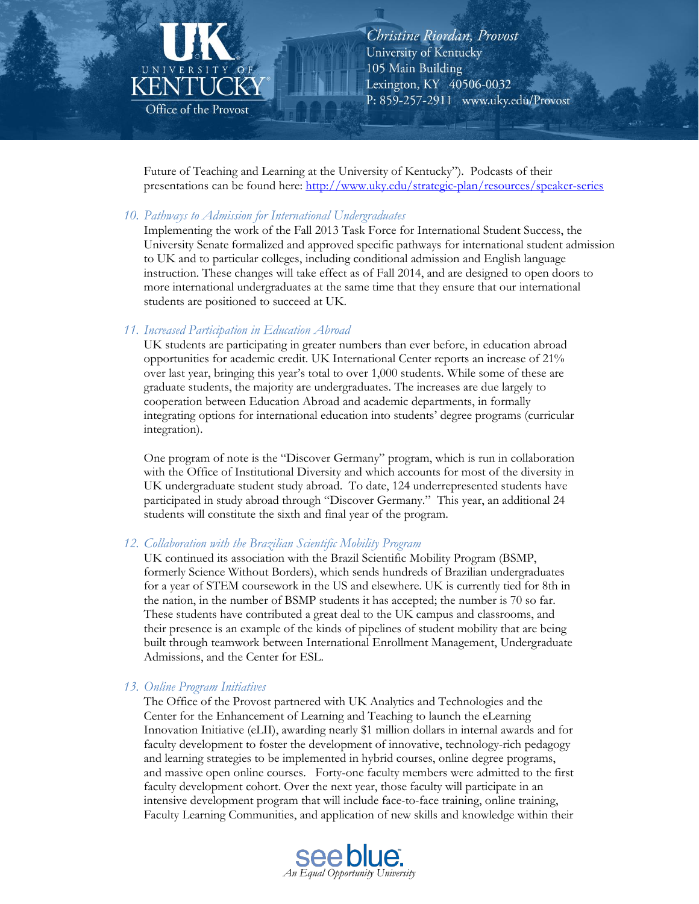

Future of Teaching and Learning at the University of Kentucky"). Podcasts of their presentations can be found here: http://www.uky.edu/strategic-plan/resources/speaker-series

#### 10. Pathways to Admission for International Undergraduates

Implementing the work of the Fall 2013 Task Force for International Student Success, the University Senate formalized and approved specific pathways for international student admission to UK and to particular colleges, including conditional admission and English language instruction. These changes will take effect as of Fall 2014, and are designed to open doors to more international undergraduates at the same time that they ensure that our international students are positioned to succeed at UK.

#### 11. Increased Participation in Education Abroad

UK students are participating in greater numbers than ever before, in education abroad opportunities for academic credit. UK International Center reports an increase of 21% over last year, bringing this year's total to over 1,000 students. While some of these are graduate students, the majority are undergraduates. The increases are due largely to cooperation between Education Abroad and academic departments, in formally integrating options for international education into students' degree programs (curricular integration).

One program of note is the "Discover Germany" program, which is run in collaboration with the Office of Institutional Diversity and which accounts for most of the diversity in UK undergraduate student study abroad. To date, 124 underrepresented students have participated in study abroad through "Discover Germany." This year, an additional 24 students will constitute the sixth and final year of the program.

#### 12. Collaboration with the Brazilian Scientific Mobility Program

UK continued its association with the Brazil Scientific Mobility Program (BSMP, formerly Science Without Borders), which sends hundreds of Brazilian undergraduates for a year of STEM coursework in the US and elsewhere. UK is currently tied for 8th in the nation, in the number of BSMP students it has accepted; the number is 70 so far. These students have contributed a great deal to the UK campus and classrooms, and their presence is an example of the kinds of pipelines of student mobility that are being built through teamwork between International Enrollment Management, Undergraduate Admissions, and the Center for ESL.

#### 13. Online Program Initiatives

The Office of the Provost partnered with UK Analytics and Technologies and the Center for the Enhancement of Learning and Teaching to launch the eLearning Innovation Initiative (eLII), awarding nearly \$1 million dollars in internal awards and for faculty development to foster the development of innovative, technology-rich pedagogy and learning strategies to be implemented in hybrid courses, online degree programs, and massive open online courses. Forty-one faculty members were admitted to the first faculty development cohort. Over the next year, those faculty will participate in an intensive development program that will include face-to-face training, online training, Faculty Learning Communities, and application of new skills and knowledge within their

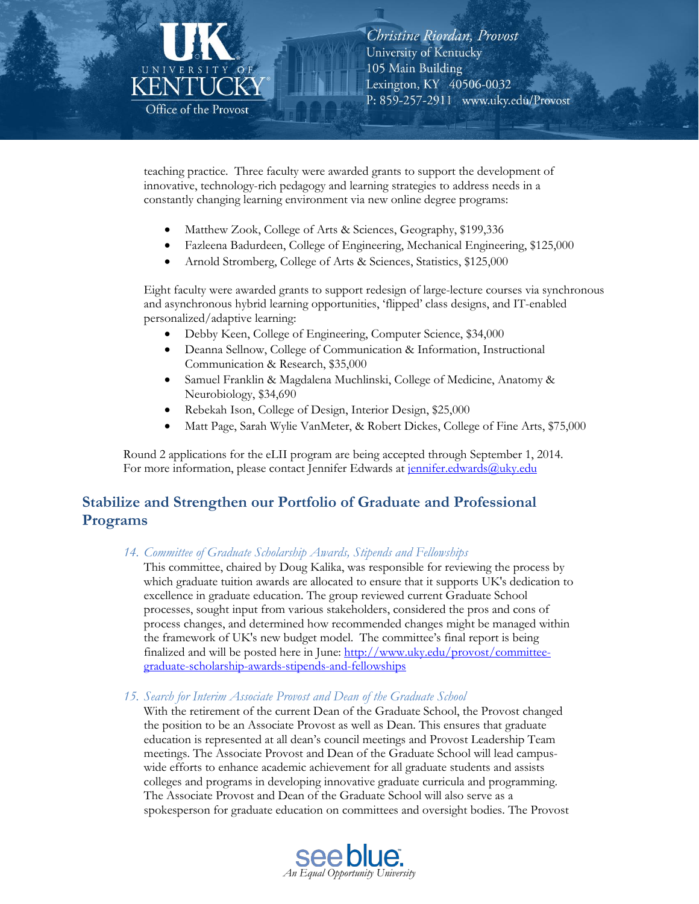

teaching practice. Three faculty were awarded grants to support the development of innovative, technology-rich pedagogy and learning strategies to address needs in a constantly changing learning environment via new online degree programs:

- Matthew Zook, College of Arts & Sciences, Geography, \$199,336
- Fazleena Badurdeen, College of Engineering, Mechanical Engineering, \$125,000
- Arnold Stromberg, College of Arts & Sciences, Statistics, \$125,000

Eight faculty were awarded grants to support redesign of large-lecture courses via synchronous and asynchronous hybrid learning opportunities, 'flipped' class designs, and IT-enabled personalized/adaptive learning:

- Debby Keen, College of Engineering, Computer Science, \$34,000
- Deanna Sellnow, College of Communication & Information, Instructional Communication & Research, \$35,000
- Samuel Franklin & Magdalena Muchlinski, College of Medicine, Anatomy & Neurobiology, \$34,690
- Rebekah Ison, College of Design, Interior Design, \$25,000
- Matt Page, Sarah Wylie VanMeter, & Robert Dickes, College of Fine Arts, \$75,000

Round 2 applications for the eLII program are being accepted through September 1, 2014. For more information, please contact Jennifer Edwards at jennifer.edwards@uky.edu

# Stabilize and Strengthen our Portfolio of Graduate and Professional Programs

14. Committee of Graduate Scholarship Awards, Stipends and Fellowships

This committee, chaired by Doug Kalika, was responsible for reviewing the process by which graduate tuition awards are allocated to ensure that it supports UK's dedication to excellence in graduate education. The group reviewed current Graduate School processes, sought input from various stakeholders, considered the pros and cons of process changes, and determined how recommended changes might be managed within the framework of UK's new budget model. The committee's final report is being finalized and will be posted here in June: http://www.uky.edu/provost/committeegraduate-scholarship-awards-stipends-and-fellowships

15. Search for Interim Associate Provost and Dean of the Graduate School

With the retirement of the current Dean of the Graduate School, the Provost changed the position to be an Associate Provost as well as Dean. This ensures that graduate education is represented at all dean's council meetings and Provost Leadership Team meetings. The Associate Provost and Dean of the Graduate School will lead campuswide efforts to enhance academic achievement for all graduate students and assists colleges and programs in developing innovative graduate curricula and programming. The Associate Provost and Dean of the Graduate School will also serve as a spokesperson for graduate education on committees and oversight bodies. The Provost

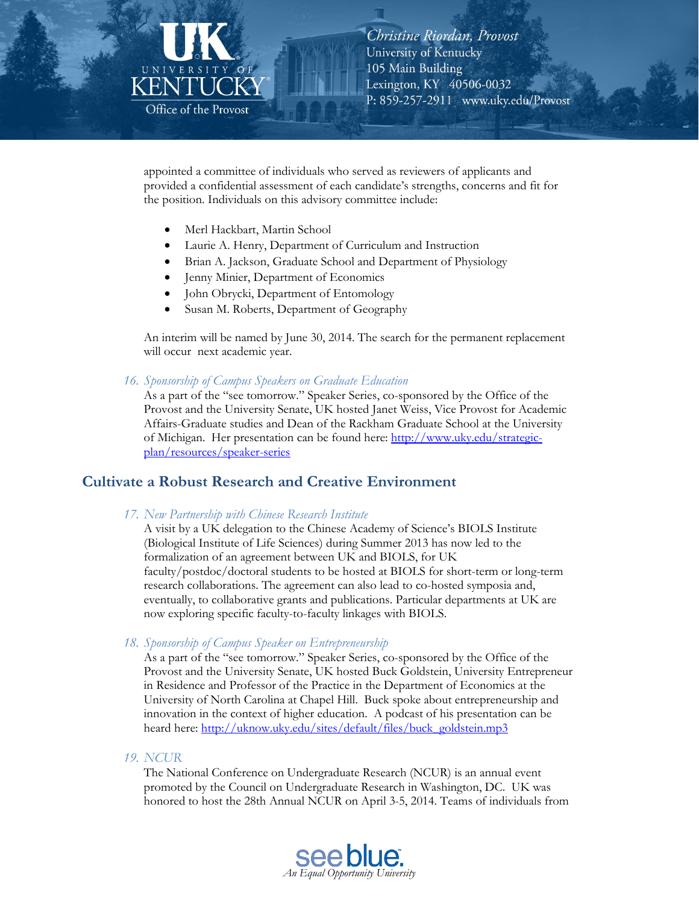

appointed a committee of individuals who served as reviewers of applicants and provided a confidential assessment of each candidate's strengths, concerns and fit for the position. Individuals on this advisory committee include:

- Merl Hackbart, Martin School
- Laurie A. Henry, Department of Curriculum and Instruction
- Brian A. Jackson, Graduate School and Department of Physiology
- Jenny Minier, Department of Economics
- John Obrycki, Department of Entomology
- Susan M. Roberts, Department of Geography

An interim will be named by June 30, 2014. The search for the permanent replacement will occur next academic year.

16. Sponsorship of Campus Speakers on Graduate Education

As a part of the "see tomorrow." Speaker Series, co-sponsored by the Office of the Provost and the University Senate, UK hosted Janet Weiss, Vice Provost for Academic Affairs-Graduate studies and Dean of the Rackham Graduate School at the University of Michigan. Her presentation can be found here: http://www.uky.edu/strategicplan/resources/speaker-series

# **Cultivate a Robust Research and Creative Environment**

17. New Partnership with Chinese Research Institute

A visit by a UK delegation to the Chinese Academy of Science's BIOLS Institute (Biological Institute of Life Sciences) during Summer 2013 has now led to the formalization of an agreement between UK and BIOLS, for UK faculty/postdoc/doctoral students to be hosted at BIOLS for short-term or long-term research collaborations. The agreement can also lead to co-hosted symposia and, eventually, to collaborative grants and publications. Particular departments at UK are now exploring specific faculty-to-faculty linkages with BIOLS.

18. Sponsorship of Campus Speaker on Entrepreneurship

As a part of the "see tomorrow." Speaker Series, co-sponsored by the Office of the Provost and the University Senate, UK hosted Buck Goldstein, University Entrepreneur in Residence and Professor of the Practice in the Department of Economics at the University of North Carolina at Chapel Hill. Buck spoke about entrepreneurship and innovation in the context of higher education. A podcast of his presentation can be heard here: http://uknow.uky.edu/sites/default/files/buck\_goldstein.mp3

19. NCUR

The National Conference on Undergraduate Research (NCUR) is an annual event promoted by the Council on Undergraduate Research in Washington, DC. UK was honored to host the 28th Annual NCUR on April 3-5, 2014. Teams of individuals from

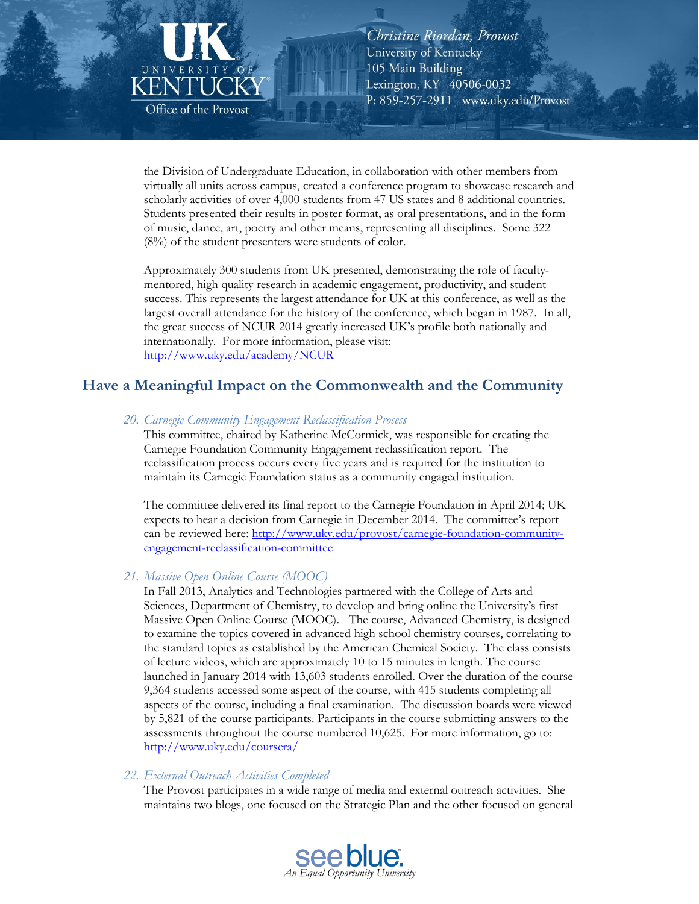

the Division of Undergraduate Education, in collaboration with other members from virtually all units across campus, created a conference program to showcase research and scholarly activities of over 4,000 students from 47 US states and 8 additional countries. Students presented their results in poster format, as oral presentations, and in the form of music, dance, art, poetry and other means, representing all disciplines. Some 322  $(8\%)$  of the student presenters were students of color.

Approximately 300 students from UK presented, demonstrating the role of facultymentored, high quality research in academic engagement, productivity, and student success. This represents the largest attendance for UK at this conference, as well as the largest overall attendance for the history of the conference, which began in 1987. In all, the great success of NCUR 2014 greatly increased UK's profile both nationally and internationally. For more information, please visit: http://www.uky.edu/academy/NCUR

# Have a Meaningful Impact on the Commonwealth and the Community

#### 20. Carnegie Community Engagement Reclassification Process

This committee, chaired by Katherine McCormick, was responsible for creating the Carnegie Foundation Community Engagement reclassification report. The reclassification process occurs every five years and is required for the institution to maintain its Carnegie Foundation status as a community engaged institution.

The committee delivered its final report to the Carnegie Foundation in April 2014; UK expects to hear a decision from Carnegie in December 2014. The committee's report can be reviewed here: http://www.uky.edu/provost/carnegie-foundation-communityengagement-reclassification-committee

#### 21. Massive Open Online Course (MOOC)

In Fall 2013, Analytics and Technologies partnered with the College of Arts and Sciences, Department of Chemistry, to develop and bring online the University's first Massive Open Online Course (MOOC). The course, Advanced Chemistry, is designed to examine the topics covered in advanced high school chemistry courses, correlating to the standard topics as established by the American Chemical Society. The class consists of lecture videos, which are approximately 10 to 15 minutes in length. The course launched in January 2014 with 13,603 students enrolled. Over the duration of the course 9,364 students accessed some aspect of the course, with 415 students completing all aspects of the course, including a final examination. The discussion boards were viewed by 5,821 of the course participants. Participants in the course submitting answers to the assessments throughout the course numbered 10,625. For more information, go to: http://www.uky.edu/coursera/

#### 22. External Outreach Activities Completed

The Provost participates in a wide range of media and external outreach activities. She maintains two blogs, one focused on the Strategic Plan and the other focused on general

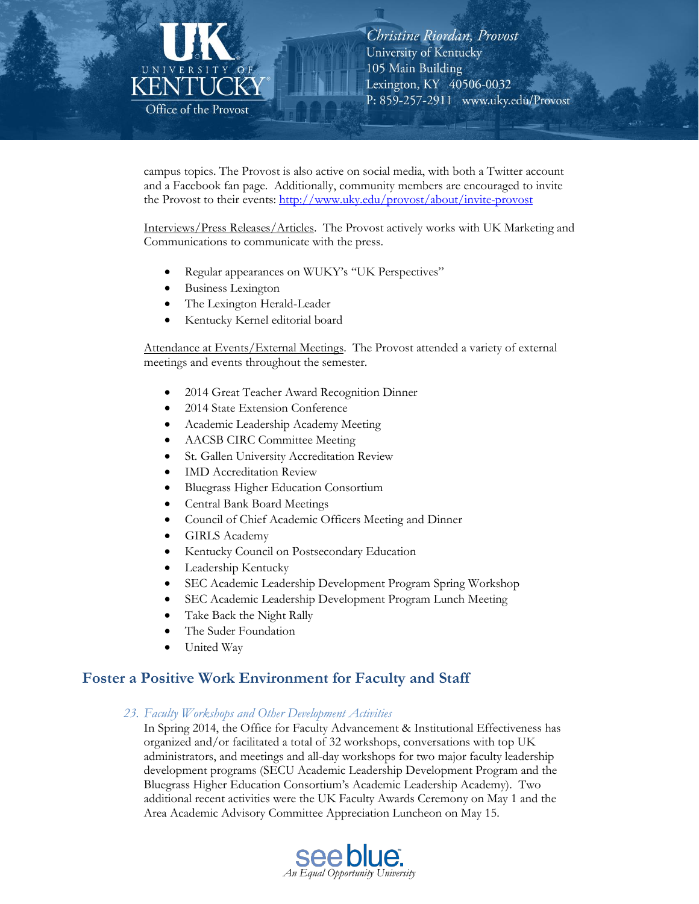

campus topics. The Provost is also active on social media, with both a Twitter account and a Facebook fan page. Additionally, community members are encouraged to invite the Provost to their events: http://www.uky.edu/provost/about/invite-provost

Interviews/Press Releases/Articles. The Provost actively works with UK Marketing and Communications to communicate with the press.

- Regular appearances on WUKY's "UK Perspectives"
- **Business Lexington**
- The Lexington Herald-Leader
- Kentucky Kernel editorial board

Attendance at Events/External Meetings. The Provost attended a variety of external meetings and events throughout the semester.

- 2014 Great Teacher Award Recognition Dinner
- 2014 State Extension Conference
- Academic Leadership Academy Meeting
- **AACSB CIRC Committee Meeting**
- St. Gallen University Accreditation Review
- **IMD** Accreditation Review
- Bluegrass Higher Education Consortium
- **Central Bank Board Meetings**
- Council of Chief Academic Officers Meeting and Dinner
- **GIRLS Academy**
- Kentucky Council on Postsecondary Education
- Leadership Kentucky
- SEC Academic Leadership Development Program Spring Workshop
- SEC Academic Leadership Development Program Lunch Meeting
- Take Back the Night Rally
- The Suder Foundation
- United Way

# **Foster a Positive Work Environment for Faculty and Staff**

#### 23. Faculty Workshops and Other Development Activities

In Spring 2014, the Office for Faculty Advancement & Institutional Effectiveness has organized and/or facilitated a total of 32 workshops, conversations with top UK administrators, and meetings and all-day workshops for two major faculty leadership development programs (SECU Academic Leadership Development Program and the Bluegrass Higher Education Consortium's Academic Leadership Academy). Two additional recent activities were the UK Faculty Awards Ceremony on May 1 and the Area Academic Advisory Committee Appreciation Luncheon on May 15.

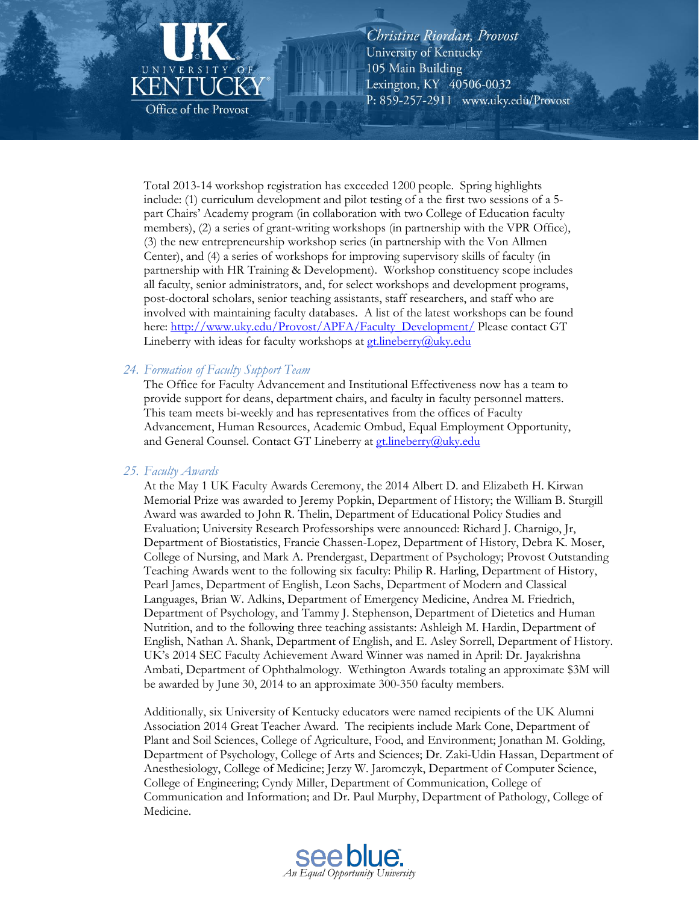

Total 2013-14 workshop registration has exceeded 1200 people. Spring highlights include: (1) curriculum development and pilot testing of a the first two sessions of a 5part Chairs' Academy program (in collaboration with two College of Education faculty members), (2) a series of grant-writing workshops (in partnership with the VPR Office), (3) the new entrepreneurship workshop series (in partnership with the Von Allmen Center), and (4) a series of workshops for improving supervisory skills of faculty (in partnership with HR Training & Development). Workshop constituency scope includes all faculty, senior administrators, and, for select workshops and development programs, post-doctoral scholars, senior teaching assistants, staff researchers, and staff who are involved with maintaining faculty databases. A list of the latest workshops can be found here: http://www.uky.edu/Provost/APFA/Faculty\_Development/ Please contact GT Lineberry with ideas for faculty workshops at gt.lineberry@uky.edu

#### 24. Formation of Faculty Support Team

The Office for Faculty Advancement and Institutional Effectiveness now has a team to provide support for deans, department chairs, and faculty in faculty personnel matters. This team meets bi-weekly and has representatives from the offices of Faculty Advancement, Human Resources, Academic Ombud, Equal Employment Opportunity, and General Counsel. Contact GT Lineberry at **gt.lineberry@uky.edu** 

#### 25. Faculty Awards

At the May 1 UK Faculty Awards Ceremony, the 2014 Albert D. and Elizabeth H. Kirwan Memorial Prize was awarded to Jeremy Popkin, Department of History; the William B. Sturgill Award was awarded to John R. Thelin, Department of Educational Policy Studies and Evaluation; University Research Professorships were announced: Richard J. Charnigo, Jr. Department of Biostatistics, Francie Chassen-Lopez, Department of History, Debra K. Moser, College of Nursing, and Mark A. Prendergast, Department of Psychology; Provost Outstanding Teaching Awards went to the following six faculty: Philip R. Harling, Department of History, Pearl James, Department of English, Leon Sachs, Department of Modern and Classical Languages, Brian W. Adkins, Department of Emergency Medicine, Andrea M. Friedrich, Department of Psychology, and Tammy J. Stephenson, Department of Dietetics and Human Nutrition, and to the following three teaching assistants: Ashleigh M. Hardin, Department of English, Nathan A. Shank, Department of English, and E. Asley Sorrell, Department of History. UK's 2014 SEC Faculty Achievement Award Winner was named in April: Dr. Jayakrishna Ambati, Department of Ophthalmology. Wethington Awards totaling an approximate \$3M will be awarded by June 30, 2014 to an approximate 300-350 faculty members.

Additionally, six University of Kentucky educators were named recipients of the UK Alumni Association 2014 Great Teacher Award. The recipients include Mark Cone, Department of Plant and Soil Sciences, College of Agriculture, Food, and Environment; Jonathan M. Golding, Department of Psychology, College of Arts and Sciences; Dr. Zaki-Udin Hassan, Department of Anesthesiology, College of Medicine; Jerzy W. Jaromczyk, Department of Computer Science, College of Engineering; Cyndy Miller, Department of Communication, College of Communication and Information; and Dr. Paul Murphy, Department of Pathology, College of Medicine.

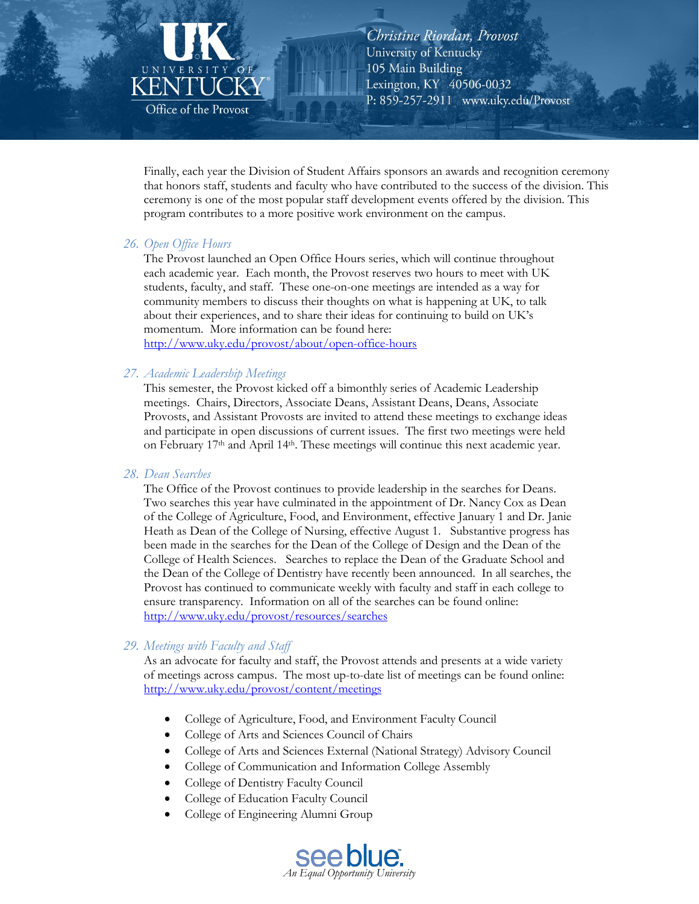# KENT Office of the Provost

Christine Riordan, Provost University of Kentucky 105 Main Building Lexington, KY 40506-0032 P: 859-257-2911 www.uky.edu/Provost

Finally, each year the Division of Student Affairs sponsors an awards and recognition ceremony that honors staff, students and faculty who have contributed to the success of the division. This ceremony is one of the most popular staff development events offered by the division. This program contributes to a more positive work environment on the campus.

#### 26. Open Office Hours

The Provost launched an Open Office Hours series, which will continue throughout each academic year. Each month, the Provost reserves two hours to meet with UK students, faculty, and staff. These one-on-one meetings are intended as a way for community members to discuss their thoughts on what is happening at UK, to talk about their experiences, and to share their ideas for continuing to build on UK's momentum. More information can be found here: http://www.uky.edu/provost/about/open-office-hours

#### 27. Academic Leadership Meetings

This semester, the Provost kicked off a bimonthly series of Academic Leadership meetings. Chairs, Directors, Associate Deans, Assistant Deans, Deans, Associate Provosts, and Assistant Provosts are invited to attend these meetings to exchange ideas and participate in open discussions of current issues. The first two meetings were held on February 17<sup>th</sup> and April 14<sup>th</sup>. These meetings will continue this next academic year.

#### 28. Dean Searches

The Office of the Provost continues to provide leadership in the searches for Deans. Two searches this year have culminated in the appointment of Dr. Nancy Cox as Dean of the College of Agriculture, Food, and Environment, effective January 1 and Dr. Janie Heath as Dean of the College of Nursing, effective August 1. Substantive progress has been made in the searches for the Dean of the College of Design and the Dean of the College of Health Sciences. Searches to replace the Dean of the Graduate School and the Dean of the College of Dentistry have recently been announced. In all searches, the Provost has continued to communicate weekly with faculty and staff in each college to ensure transparency. Information on all of the searches can be found online: http://www.uky.edu/provost/resources/searches

#### 29. Meetings with Faculty and Staff

As an advocate for faculty and staff, the Provost attends and presents at a wide variety of meetings across campus. The most up-to-date list of meetings can be found online: http://www.uky.edu/provost/content/meetings

- College of Agriculture, Food, and Environment Faculty Council
- College of Arts and Sciences Council of Chairs
- College of Arts and Sciences External (National Strategy) Advisory Council
- College of Communication and Information College Assembly
- College of Dentistry Faculty Council
- College of Education Faculty Council
- College of Engineering Alumni Group

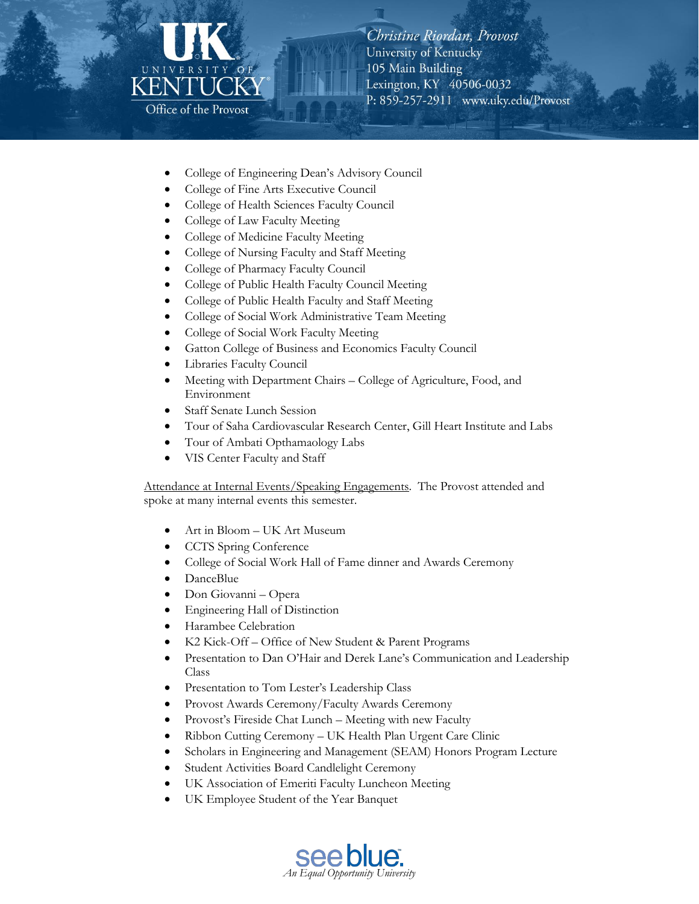# UNIVE KENTI Office of the Provost

Christine Riordan, Provost University of Kentucky 105 Main Building Lexington, KY 40506-0032 P: 859-257-2911 www.uky.edu/Provost

- College of Engineering Dean's Advisory Council
- College of Fine Arts Executive Council
- College of Health Sciences Faculty Council
- College of Law Faculty Meeting
- College of Medicine Faculty Meeting
- College of Nursing Faculty and Staff Meeting
- College of Pharmacy Faculty Council
- College of Public Health Faculty Council Meeting
- College of Public Health Faculty and Staff Meeting
- College of Social Work Administrative Team Meeting
- College of Social Work Faculty Meeting
- Gatton College of Business and Economics Faculty Council
- Libraries Faculty Council
- Meeting with Department Chairs College of Agriculture, Food, and Environment
- **Staff Senate Lunch Session**
- Tour of Saha Cardiovascular Research Center, Gill Heart Institute and Labs
- Tour of Ambati Opthamaology Labs
- VIS Center Faculty and Staff

Attendance at Internal Events/Speaking Engagements. The Provost attended and spoke at many internal events this semester.

- Art in Bloom UK Art Museum
- **CCTS** Spring Conference
- College of Social Work Hall of Fame dinner and Awards Ceremony
- DanceBlue
- Don Giovanni Opera
- Engineering Hall of Distinction
- Harambee Celebration
- K2 Kick-Off Office of New Student & Parent Programs
- Presentation to Dan O'Hair and Derek Lane's Communication and Leadership  $\bullet$ Class
- Presentation to Tom Lester's Leadership Class
- Provost Awards Ceremony/Faculty Awards Ceremony
- Provost's Fireside Chat Lunch Meeting with new Faculty
- Ribbon Cutting Ceremony UK Health Plan Urgent Care Clinic
- Scholars in Engineering and Management (SEAM) Honors Program Lecture
- Student Activities Board Candlelight Ceremony
- UK Association of Emeriti Faculty Luncheon Meeting
- UK Employee Student of the Year Banquet

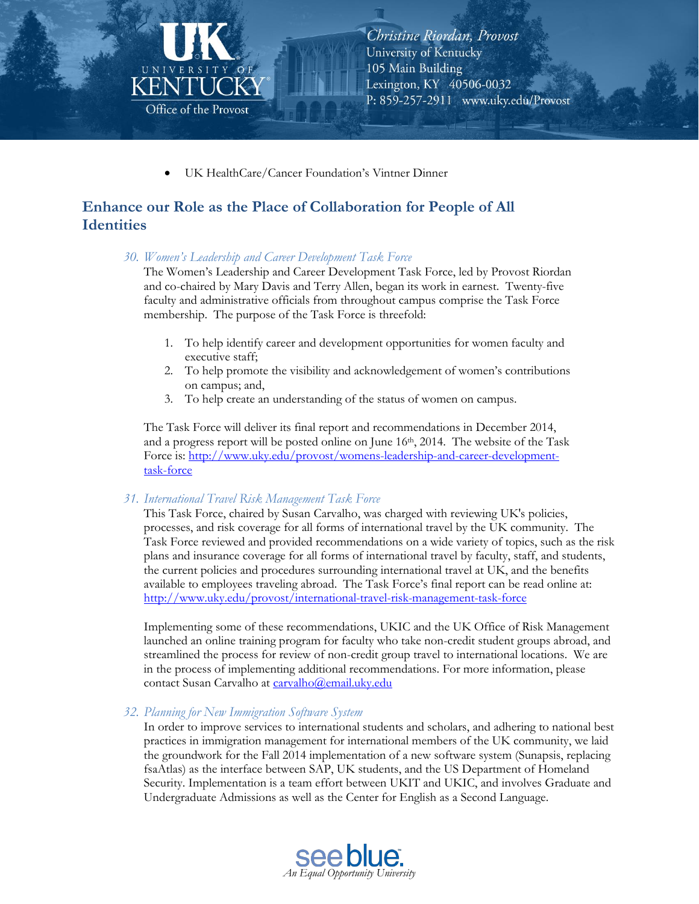

UK HealthCare/Cancer Foundation's Vintner Dinner

# Enhance our Role as the Place of Collaboration for People of All **Identities**

30. Women's Leadership and Career Development Task Force

The Women's Leadership and Career Development Task Force, led by Provost Riordan and co-chaired by Mary Davis and Terry Allen, began its work in earnest. Twenty-five faculty and administrative officials from throughout campus comprise the Task Force membership. The purpose of the Task Force is threefold:

- 1. To help identify career and development opportunities for women faculty and executive staff;
- 2. To help promote the visibility and acknowledgement of women's contributions on campus; and,
- 3. To help create an understanding of the status of women on campus.

The Task Force will deliver its final report and recommendations in December 2014, and a progress report will be posted online on June 16th, 2014. The website of the Task Force is: http://www.uky.edu/provost/womens-leadership-and-career-developmenttask-force

#### 31. International Travel Risk Management Task Force

This Task Force, chaired by Susan Carvalho, was charged with reviewing UK's policies, processes, and risk coverage for all forms of international travel by the UK community. The Task Force reviewed and provided recommendations on a wide variety of topics, such as the risk plans and insurance coverage for all forms of international travel by faculty, staff, and students, the current policies and procedures surrounding international travel at UK, and the benefits available to employees traveling abroad. The Task Force's final report can be read online at: http://www.uky.edu/provost/international-travel-risk-management-task-force

Implementing some of these recommendations, UKIC and the UK Office of Risk Management launched an online training program for faculty who take non-credit student groups abroad, and streamlined the process for review of non-credit group travel to international locations. We are in the process of implementing additional recommendations. For more information, please contact Susan Carvalho at carvalho@email.uky.edu

#### 32. Planning for New Immigration Software System

In order to improve services to international students and scholars, and adhering to national best practices in immigration management for international members of the UK community, we laid the groundwork for the Fall 2014 implementation of a new software system (Sunapsis, replacing fsaAtlas) as the interface between SAP, UK students, and the US Department of Homeland Security. Implementation is a team effort between UKIT and UKIC, and involves Graduate and Undergraduate Admissions as well as the Center for English as a Second Language.

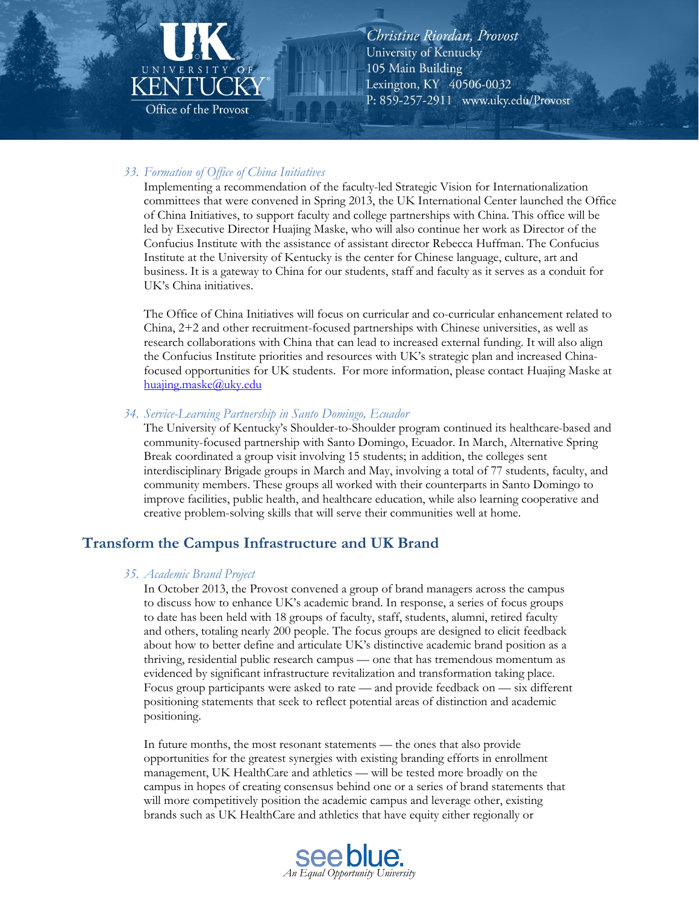

#### 33. Formation of Office of China Initiatives

Implementing a recommendation of the faculty-led Strategic Vision for Internationalization committees that were convened in Spring 2013, the UK International Center launched the Office of China Initiatives, to support faculty and college partnerships with China. This office will be led by Executive Director Huajing Maske, who will also continue her work as Director of the Confucius Institute with the assistance of assistant director Rebecca Huffman. The Confucius Institute at the University of Kentucky is the center for Chinese language, culture, art and business. It is a gateway to China for our students, staff and faculty as it serves as a conduit for UK's China initiatives.

The Office of China Initiatives will focus on curricular and co-curricular enhancement related to China,  $2+2$  and other recruitment-focused partnerships with Chinese universities, as well as research collaborations with China that can lead to increased external funding. It will also align the Confucius Institute priorities and resources with UK's strategic plan and increased Chinafocused opportunities for UK students. For more information, please contact Huajing Maske at huajing.maske@uky.edu

#### 34. Service-Learning Partnership in Santo Domingo, Ecuador

The University of Kentucky's Shoulder-to-Shoulder program continued its healthcare-based and community-focused partnership with Santo Domingo, Ecuador. In March, Alternative Spring Break coordinated a group visit involving 15 students; in addition, the colleges sent interdisciplinary Brigade groups in March and May, involving a total of 77 students, faculty, and community members. These groups all worked with their counterparts in Santo Domingo to improve facilities, public health, and healthcare education, while also learning cooperative and creative problem-solving skills that will serve their communities well at home.

# **Transform the Campus Infrastructure and UK Brand**

#### 35. Academic Brand Project

In October 2013, the Provost convened a group of brand managers across the campus to discuss how to enhance UK's academic brand. In response, a series of focus groups to date has been held with 18 groups of faculty, staff, students, alumni, retired faculty and others, totaling nearly 200 people. The focus groups are designed to elicit feedback about how to better define and articulate UK's distinctive academic brand position as a thriving, residential public research campus - one that has tremendous momentum as evidenced by significant infrastructure revitalization and transformation taking place. Focus group participants were asked to rate — and provide feedback on — six different positioning statements that seek to reflect potential areas of distinction and academic positioning.

In future months, the most resonant statements — the ones that also provide opportunities for the greatest synergies with existing branding efforts in enrollment management, UK HealthCare and athletics — will be tested more broadly on the campus in hopes of creating consensus behind one or a series of brand statements that will more competitively position the academic campus and leverage other, existing brands such as UK HealthCare and athletics that have equity either regionally or

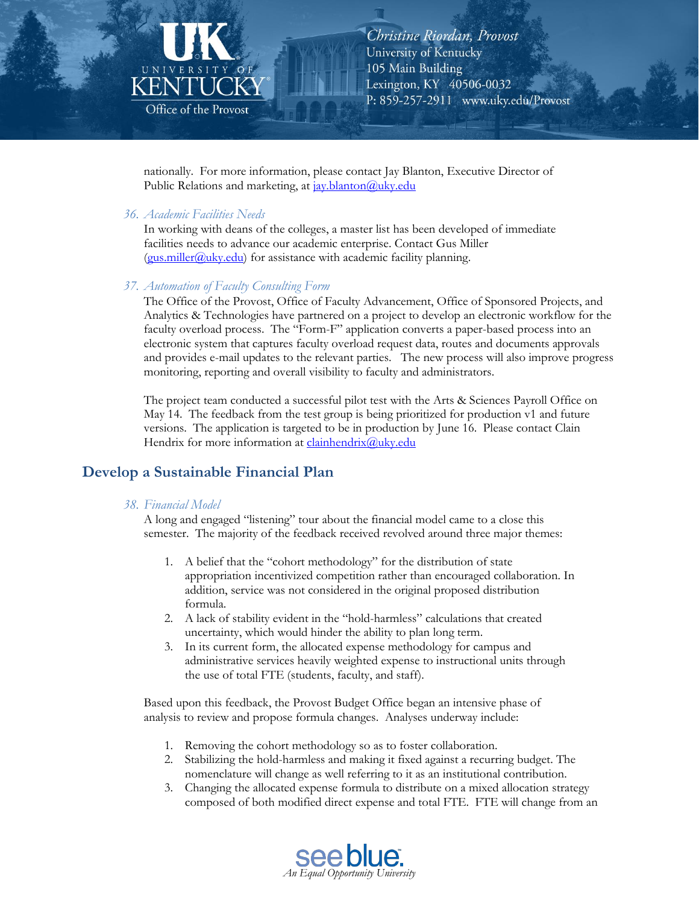

nationally. For more information, please contact Jay Blanton, Executive Director of Public Relations and marketing, at jay.blanton@uky.edu

#### 36. Academic Facilities Needs

In working with deans of the colleges, a master list has been developed of immediate facilities needs to advance our academic enterprise. Contact Gus Miller (gus.miller@uky.edu) for assistance with academic facility planning.

#### 37. Automation of Faculty Consulting Form

The Office of the Provost, Office of Faculty Advancement, Office of Sponsored Projects, and Analytics & Technologies have partnered on a project to develop an electronic workflow for the faculty overload process. The "Form-F" application converts a paper-based process into an electronic system that captures faculty overload request data, routes and documents approvals and provides e-mail updates to the relevant parties. The new process will also improve progress monitoring, reporting and overall visibility to faculty and administrators.

The project team conducted a successful pilot test with the Arts & Sciences Payroll Office on May 14. The feedback from the test group is being prioritized for production v1 and future versions. The application is targeted to be in production by June 16. Please contact Clain Hendrix for more information at *clainhendrix@uky.edu* 

# Develop a Sustainable Financial Plan

#### 38. Financial Model

A long and engaged "listening" tour about the financial model came to a close this semester. The majority of the feedback received revolved around three major themes:

- 1. A belief that the "cohort methodology" for the distribution of state appropriation incentivized competition rather than encouraged collaboration. In addition, service was not considered in the original proposed distribution formula.
- 2. A lack of stability evident in the "hold-harmless" calculations that created uncertainty, which would hinder the ability to plan long term.
- 3. In its current form, the allocated expense methodology for campus and administrative services heavily weighted expense to instructional units through the use of total FTE (students, faculty, and staff).

Based upon this feedback, the Provost Budget Office began an intensive phase of analysis to review and propose formula changes. Analyses underway include:

- 1. Removing the cohort methodology so as to foster collaboration.
- Stabilizing the hold-harmless and making it fixed against a recurring budget. The 2. nomenclature will change as well referring to it as an institutional contribution.
- 3. Changing the allocated expense formula to distribute on a mixed allocation strategy composed of both modified direct expense and total FTE. FTE will change from an